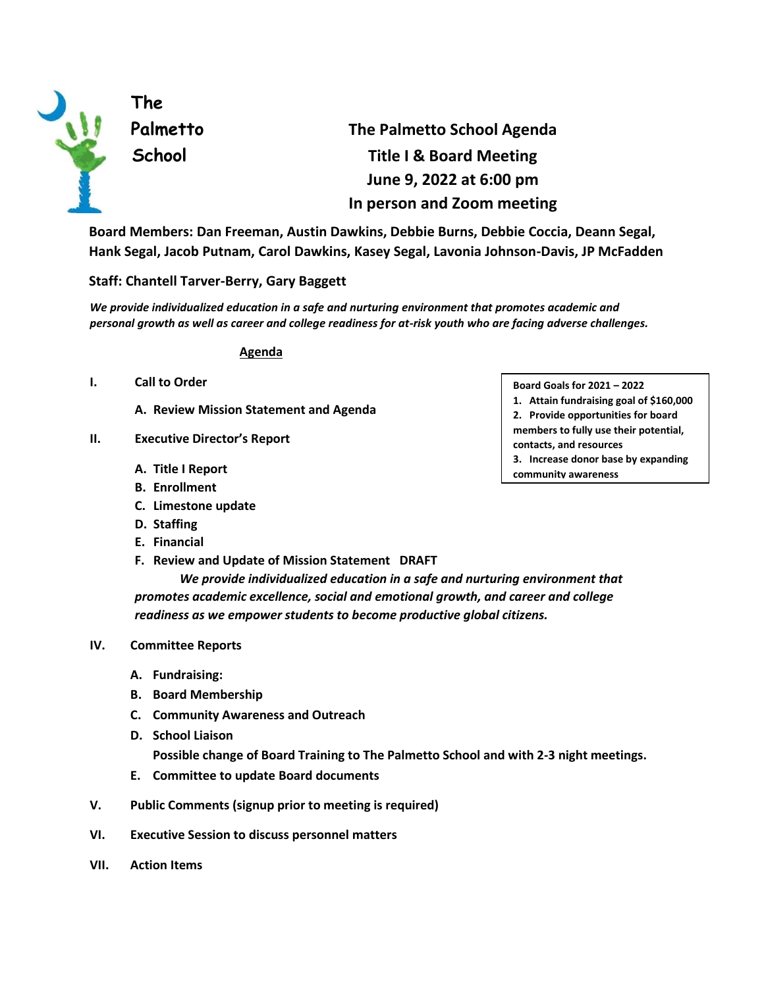

**The** 

# **Palmetto The Palmetto School Agenda School Title I & Board Meeting June 9, 2022 at 6:00 pm In person and Zoom meeting**

**Board Members: Dan Freeman, Austin Dawkins, Debbie Burns, Debbie Coccia, Deann Segal, Hank Segal, Jacob Putnam, Carol Dawkins, Kasey Segal, Lavonia Johnson-Davis, JP McFadden** 

## **Staff: Chantell Tarver-Berry, Gary Baggett**

*We provide individualized education in a safe and nurturing environment that promotes academic and personal growth as well as career and college readiness for at-risk youth who are facing adverse challenges.* 

#### **Agenda**

- **I. Call to Order** 
	- **A. Review Mission Statement and Agenda**
- **II. Executive Director's Report** 
	- **A. Title I Report**
	- **B. Enrollment**
	- **C. Limestone update**
	- **D. Staffing**
	- **E. Financial**
	- **F. Review and Update of Mission Statement DRAFT**

*We provide individualized education in a safe and nurturing environment that promotes academic excellence, social and emotional growth, and career and college readiness as we empower students to become productive global citizens.* 

#### **IV. Committee Reports**

- **A. Fundraising:**
- **B. Board Membership**
- **C. Community Awareness and Outreach**
- **D. School Liaison Possible change of Board Training to The Palmetto School and with 2-3 night meetings.**
- **E. Committee to update Board documents**
- **V. Public Comments (signup prior to meeting is required)**
- **VI. Executive Session to discuss personnel matters**
- **VII. Action Items**
- **Board Goals for 2021 – 2022**
- **1. Attain fundraising goal of \$160,000 2. Provide opportunities for board**
- **members to fully use their potential, contacts, and resources**
- **3. Increase donor base by expanding community awareness**